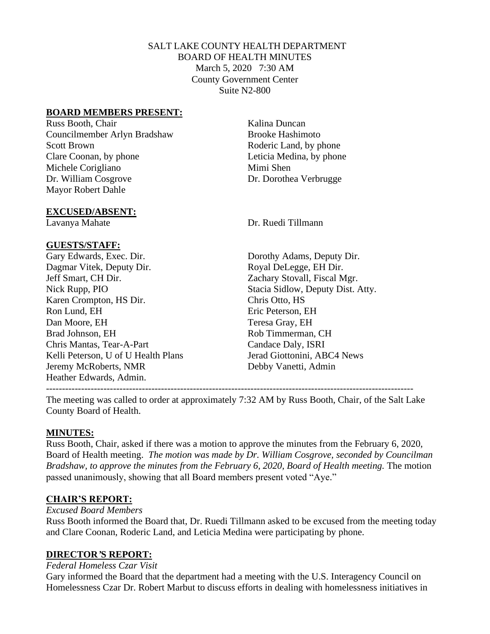# SALT LAKE COUNTY HEALTH DEPARTMENT BOARD OF HEALTH MINUTES March 5, 2020 7:30 AM County Government Center Suite N2-800

### **BOARD MEMBERS PRESENT:**

Russ Booth, Chair Kalina Duncan Councilmember Arlyn Bradshaw Brooke Hashimoto Scott Brown Roderic Land, by phone Clare Coonan, by phone Leticia Medina, by phone Michele Corigliano Mimi Shen Dr. William Cosgrove Dr. Dorothea Verbrugge Mayor Robert Dahle

#### **EXCUSED/ABSENT:**

#### **GUESTS/STAFF:**

Gary Edwards, Exec. Dir. Dorothy Adams, Deputy Dir. Dagmar Vitek, Deputy Dir. Royal DeLegge, EH Dir. Jeff Smart, CH Dir. Zachary Stovall, Fiscal Mgr. Nick Rupp, PIO Stacia Sidlow, Deputy Dist. Atty. Karen Crompton, HS Dir. Chris Otto, HS Ron Lund, EH Eric Peterson, EH Dan Moore, EH Teresa Gray, EH Brad Johnson, EH Rob Timmerman, CH Chris Mantas, Tear-A-Part Candace Daly, ISRI Kelli Peterson, U of U Health Plans Jerad Giottonini, ABC4 News Jeremy McRoberts, NMR Debby Vanetti, Admin Heather Edwards, Admin. -------------------------------------------------------------------------------------------------------------------

Lavanya Mahate Dr. Ruedi Tillmann

The meeting was called to order at approximately 7:32 AM by Russ Booth, Chair, of the Salt Lake County Board of Health.

#### **MINUTES:**

Russ Booth, Chair, asked if there was a motion to approve the minutes from the February 6, 2020, Board of Health meeting. *The motion was made by Dr. William Cosgrove, seconded by Councilman Bradshaw, to approve the minutes from the February 6, 2020, Board of Health meeting. The motion* passed unanimously, showing that all Board members present voted "Aye."

#### **CHAIR'S REPORT:**

#### *Excused Board Members*

Russ Booth informed the Board that, Dr. Ruedi Tillmann asked to be excused from the meeting today and Clare Coonan, Roderic Land, and Leticia Medina were participating by phone.

#### **DIRECTOR***'***S REPORT:**

# *Federal Homeless Czar Visit*

Gary informed the Board that the department had a meeting with the U.S. Interagency Council on Homelessness Czar Dr. Robert Marbut to discuss efforts in dealing with homelessness initiatives in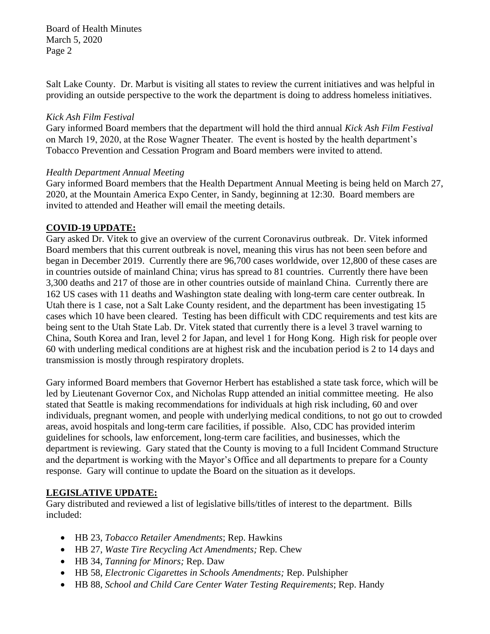Salt Lake County. Dr. Marbut is visiting all states to review the current initiatives and was helpful in providing an outside perspective to the work the department is doing to address homeless initiatives.

### *Kick Ash Film Festival*

Gary informed Board members that the department will hold the third annual *Kick Ash Film Festival* on March 19, 2020, at the Rose Wagner Theater. The event is hosted by the health department's Tobacco Prevention and Cessation Program and Board members were invited to attend.

### *Health Department Annual Meeting*

Gary informed Board members that the Health Department Annual Meeting is being held on March 27, 2020, at the Mountain America Expo Center, in Sandy, beginning at 12:30. Board members are invited to attended and Heather will email the meeting details.

### **COVID-19 UPDATE:**

Gary asked Dr. Vitek to give an overview of the current Coronavirus outbreak. Dr. Vitek informed Board members that this current outbreak is novel, meaning this virus has not been seen before and began in December 2019. Currently there are 96,700 cases worldwide, over 12,800 of these cases are in countries outside of mainland China; virus has spread to 81 countries. Currently there have been 3,300 deaths and 217 of those are in other countries outside of mainland China. Currently there are 162 US cases with 11 deaths and Washington state dealing with long-term care center outbreak. In Utah there is 1 case, not a Salt Lake County resident, and the department has been investigating 15 cases which 10 have been cleared. Testing has been difficult with CDC requirements and test kits are being sent to the Utah State Lab. Dr. Vitek stated that currently there is a level 3 travel warning to China, South Korea and Iran, level 2 for Japan, and level 1 for Hong Kong. High risk for people over 60 with underling medical conditions are at highest risk and the incubation period is 2 to 14 days and transmission is mostly through respiratory droplets.

Gary informed Board members that Governor Herbert has established a state task force, which will be led by Lieutenant Governor Cox, and Nicholas Rupp attended an initial committee meeting. He also stated that Seattle is making recommendations for individuals at high risk including, 60 and over individuals, pregnant women, and people with underlying medical conditions, to not go out to crowded areas, avoid hospitals and long-term care facilities, if possible. Also, CDC has provided interim guidelines for schools, law enforcement, long-term care facilities, and businesses, which the department is reviewing. Gary stated that the County is moving to a full Incident Command Structure and the department is working with the Mayor's Office and all departments to prepare for a County response. Gary will continue to update the Board on the situation as it develops.

# **LEGISLATIVE UPDATE:**

Gary distributed and reviewed a list of legislative bills/titles of interest to the department. Bills included:

- HB 23, *Tobacco Retailer Amendments*; Rep. Hawkins
- HB 27, *Waste Tire Recycling Act Amendments;* Rep. Chew
- HB 34, *Tanning for Minors;* Rep. Daw
- HB 58, *Electronic Cigarettes in Schools Amendments;* Rep. Pulshipher
- HB 88, *School and Child Care Center Water Testing Requirements*; Rep. Handy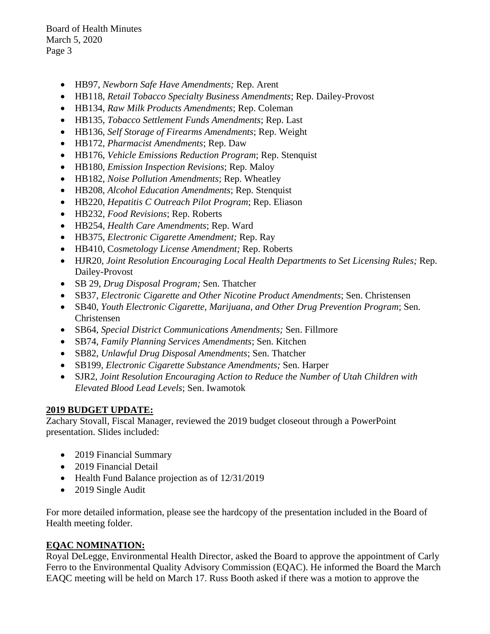- HB97, *Newborn Safe Have Amendments;* Rep. Arent
- HB118, *Retail Tobacco Specialty Business Amendments*; Rep. Dailey-Provost
- HB134, *Raw Milk Products Amendments*; Rep. Coleman
- HB135, *Tobacco Settlement Funds Amendments*; Rep. Last
- HB136, *Self Storage of Firearms Amendments*; Rep. Weight
- HB172, *Pharmacist Amendments*; Rep. Daw
- HB176, *Vehicle Emissions Reduction Program*; Rep. Stenquist
- HB180, *Emission Inspection Revisions*; Rep. Maloy
- HB182, *Noise Pollution Amendments*; Rep. Wheatley
- HB208, *Alcohol Education Amendments*; Rep. Stenquist
- HB220, *Hepatitis C Outreach Pilot Program*; Rep. Eliason
- HB232, *Food Revisions*; Rep. Roberts
- HB254, *Health Care Amendments*; Rep. Ward
- HB375, *Electronic Cigarette Amendment;* Rep. Ray
- HB410, C*osmetology License Amendment;* Rep. Roberts
- HJR20, *Joint Resolution Encouraging Local Health Departments to Set Licensing Rules;* Rep. Dailey-Provost
- SB 29, *Drug Disposal Program;* Sen. Thatcher
- SB37, *Electronic Cigarette and Other Nicotine Product Amendments*; Sen. Christensen
- SB40, *Youth Electronic Cigarette, Marijuana, and Other Drug Prevention Program*; Sen. Christensen
- SB64, *Special District Communications Amendments;* Sen. Fillmore
- SB74, *Family Planning Services Amendments*; Sen. Kitchen
- SB82, *Unlawful Drug Disposal Amendments*; Sen. Thatcher
- SB199, *Electronic Cigarette Substance Amendments;* Sen. Harper
- SJR2, *Joint Resolution Encouraging Action to Reduce the Number of Utah Children with Elevated Blood Lead Levels*; Sen. Iwamotok

# **2019 BUDGET UPDATE:**

Zachary Stovall, Fiscal Manager, reviewed the 2019 budget closeout through a PowerPoint presentation. Slides included:

- 2019 Financial Summary
- 2019 Financial Detail
- Health Fund Balance projection as of  $12/31/2019$
- 2019 Single Audit

For more detailed information, please see the hardcopy of the presentation included in the Board of Health meeting folder.

# **EQAC NOMINATION:**

Royal DeLegge, Environmental Health Director, asked the Board to approve the appointment of Carly Ferro to the Environmental Quality Advisory Commission (EQAC). He informed the Board the March EAQC meeting will be held on March 17. Russ Booth asked if there was a motion to approve the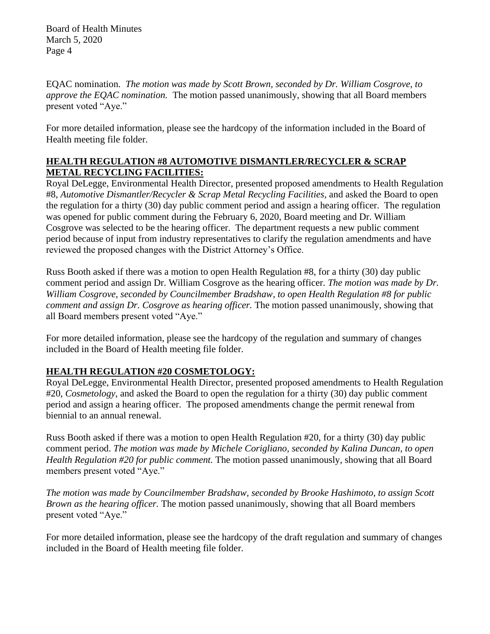EQAC nomination. *The motion was made by Scott Brown, seconded by Dr. William Cosgrove, to approve the EQAC nomination.* The motion passed unanimously, showing that all Board members present voted "Aye."

For more detailed information, please see the hardcopy of the information included in the Board of Health meeting file folder.

# **HEALTH REGULATION #8 AUTOMOTIVE DISMANTLER/RECYCLER & SCRAP METAL RECYCLING FACILITIES:**

Royal DeLegge, Environmental Health Director, presented proposed amendments to Health Regulation #8, *Automotive Dismantler/Recycler & Scrap Metal Recycling Facilities,* and asked the Board to open the regulation for a thirty (30) day public comment period and assign a hearing officer. The regulation was opened for public comment during the February 6, 2020, Board meeting and Dr. William Cosgrove was selected to be the hearing officer. The department requests a new public comment period because of input from industry representatives to clarify the regulation amendments and have reviewed the proposed changes with the District Attorney's Office.

Russ Booth asked if there was a motion to open Health Regulation #8, for a thirty (30) day public comment period and assign Dr. William Cosgrove as the hearing officer. *The motion was made by Dr. William Cosgrove, seconded by Councilmember Bradshaw, to open Health Regulation #8 for public comment and assign Dr. Cosgrove as hearing officer.* The motion passed unanimously, showing that all Board members present voted "Aye."

For more detailed information, please see the hardcopy of the regulation and summary of changes included in the Board of Health meeting file folder.

# **HEALTH REGULATION #20 COSMETOLOGY:**

Royal DeLegge, Environmental Health Director, presented proposed amendments to Health Regulation #20, *Cosmetology,* and asked the Board to open the regulation for a thirty (30) day public comment period and assign a hearing officer. The proposed amendments change the permit renewal from biennial to an annual renewal.

Russ Booth asked if there was a motion to open Health Regulation #20, for a thirty (30) day public comment period. *The motion was made by Michele Corigliano, seconded by Kalina Duncan, to open Health Regulation #20 for public comment.* The motion passed unanimously, showing that all Board members present voted "Aye."

*The motion was made by Councilmember Bradshaw, seconded by Brooke Hashimoto, to assign Scott Brown as the hearing officer.* The motion passed unanimously, showing that all Board members present voted "Aye."

For more detailed information, please see the hardcopy of the draft regulation and summary of changes included in the Board of Health meeting file folder.